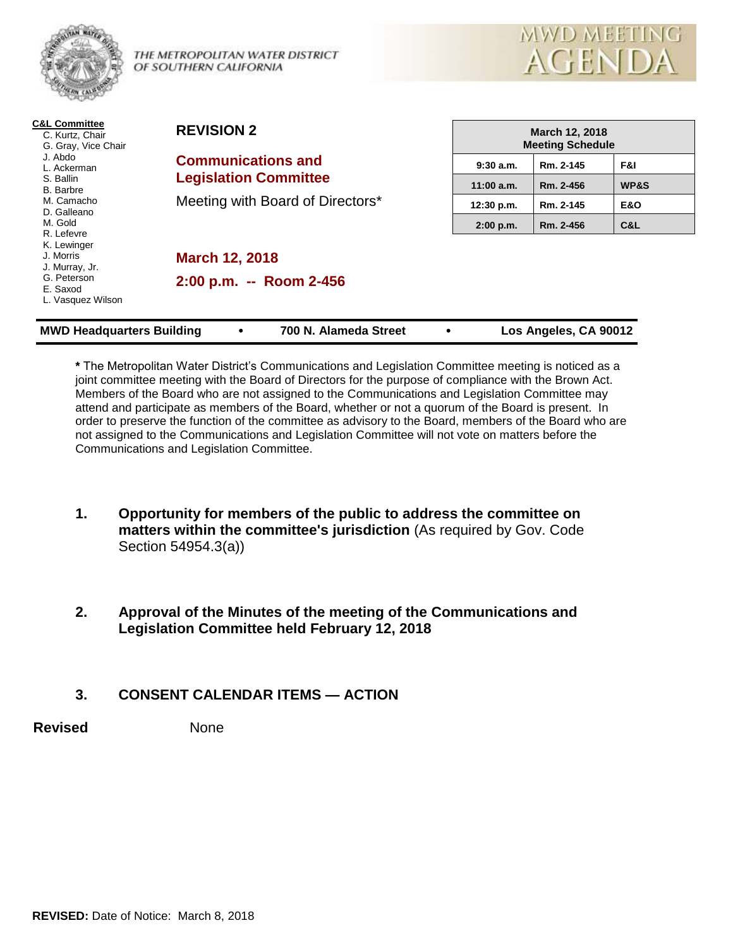

THE METROPOLITAN WATER DISTRICT OF SOUTHERN CALIFORNIA



| <b>C&amp;L Committee</b><br>C. Kurtz, Chair<br>G. Gray, Vice Chair | <b>REVISION 2</b>                                                |              | <b>March 12, 2018</b><br><b>Meeting Schedule</b> |                |  |
|--------------------------------------------------------------------|------------------------------------------------------------------|--------------|--------------------------------------------------|----------------|--|
| J. Abdo<br>L. Ackerman                                             | <b>Communications and</b>                                        | 9:30a.m.     | Rm. 2-145                                        | F&I            |  |
| S. Ballin<br><b>B.</b> Barbre<br>M. Camacho<br>D. Galleano         | <b>Legislation Committee</b><br>Meeting with Board of Directors* | $11:00$ a.m. | Rm. 2-456                                        | WP&S           |  |
|                                                                    |                                                                  | 12:30 p.m.   | Rm. 2-145                                        | <b>E&amp;O</b> |  |
| M. Gold<br>R. Lefevre                                              |                                                                  | 2:00 p.m.    | Rm. 2-456                                        | C&L            |  |
| K. Lewinger<br>J. Morris<br>J. Murray, Jr.                         | <b>March 12, 2018</b>                                            |              |                                                  |                |  |
| G. Peterson<br>E. Saxod<br>L. Vasquez Wilson                       | 2:00 p.m. -- Room 2-456                                          |              |                                                  |                |  |
| <b>MWD Headquarters Building</b>                                   | 700 N. Alameda Street<br>٠                                       |              | Los Angeles, CA 90012                            |                |  |

**\*** The Metropolitan Water District's Communications and Legislation Committee meeting is noticed as a joint committee meeting with the Board of Directors for the purpose of compliance with the Brown Act. Members of the Board who are not assigned to the Communications and Legislation Committee may attend and participate as members of the Board, whether or not a quorum of the Board is present. In order to preserve the function of the committee as advisory to the Board, members of the Board who are not assigned to the Communications and Legislation Committee will not vote on matters before the Communications and Legislation Committee.

- **1. Opportunity for members of the public to address the committee on matters within the committee's jurisdiction** (As required by Gov. Code Section 54954.3(a))
- **2. Approval of the Minutes of the meeting of the Communications and Legislation Committee held February 12, 2018**

## **3. CONSENT CALENDAR ITEMS — ACTION**

**Revised** None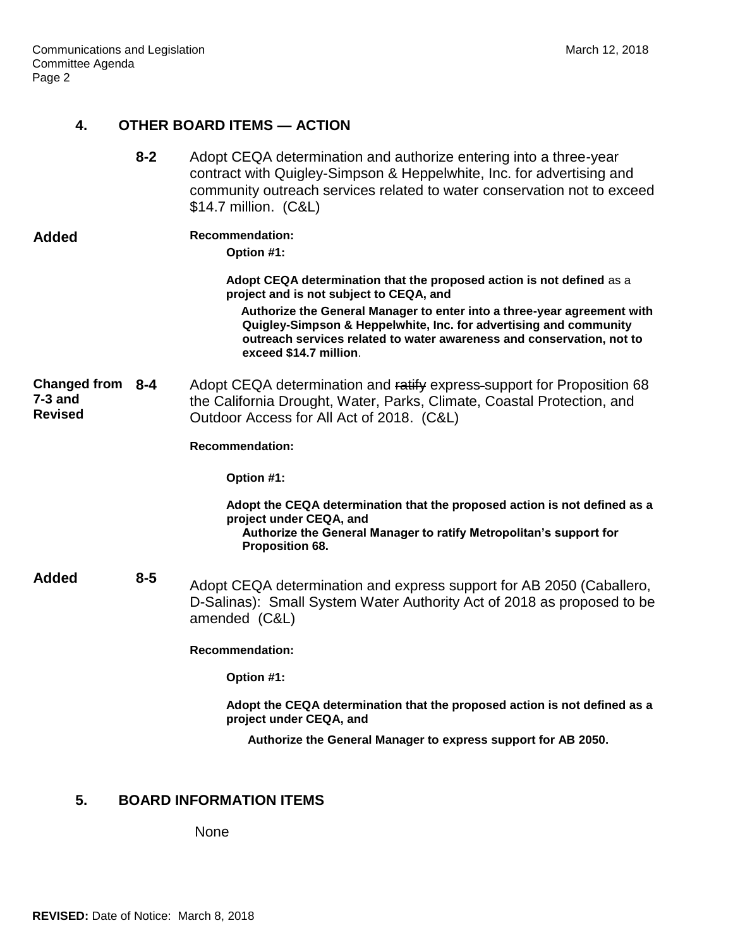| OTHER BOARD ITEMS - ACTION |  |
|----------------------------|--|
|----------------------------|--|

|                                               | $8 - 2$ | Adopt CEQA determination and authorize entering into a three-year<br>contract with Quigley-Simpson & Heppelwhite, Inc. for advertising and<br>community outreach services related to water conservation not to exceed<br>\$14.7 million. (C&L)                                                                                                                      |
|-----------------------------------------------|---------|---------------------------------------------------------------------------------------------------------------------------------------------------------------------------------------------------------------------------------------------------------------------------------------------------------------------------------------------------------------------|
| Added                                         |         | <b>Recommendation:</b><br>Option #1:                                                                                                                                                                                                                                                                                                                                |
|                                               |         | Adopt CEQA determination that the proposed action is not defined as a<br>project and is not subject to CEQA, and<br>Authorize the General Manager to enter into a three-year agreement with<br>Quigley-Simpson & Heppelwhite, Inc. for advertising and community<br>outreach services related to water awareness and conservation, not to<br>exceed \$14.7 million. |
| Changed from 8-4<br>7-3 and<br><b>Revised</b> |         | Adopt CEQA determination and ratify express-support for Proposition 68<br>the California Drought, Water, Parks, Climate, Coastal Protection, and<br>Outdoor Access for All Act of 2018. (C&L)                                                                                                                                                                       |
|                                               |         | <b>Recommendation:</b>                                                                                                                                                                                                                                                                                                                                              |
|                                               |         | Option #1:                                                                                                                                                                                                                                                                                                                                                          |
|                                               |         | Adopt the CEQA determination that the proposed action is not defined as a<br>project under CEQA, and<br>Authorize the General Manager to ratify Metropolitan's support for<br>Proposition 68.                                                                                                                                                                       |
| Added                                         | $8 - 5$ | Adopt CEQA determination and express support for AB 2050 (Caballero,<br>D-Salinas): Small System Water Authority Act of 2018 as proposed to be<br>amended (C&L)                                                                                                                                                                                                     |
|                                               |         | <b>Recommendation:</b>                                                                                                                                                                                                                                                                                                                                              |
|                                               |         | Option #1:                                                                                                                                                                                                                                                                                                                                                          |
|                                               |         | Adopt the CEQA determination that the proposed action is not defined as a<br>project under CEQA, and                                                                                                                                                                                                                                                                |
|                                               |         | Authorize the General Manager to express support for AB 2050.                                                                                                                                                                                                                                                                                                       |
|                                               |         |                                                                                                                                                                                                                                                                                                                                                                     |

# **5. BOARD INFORMATION ITEMS**

None